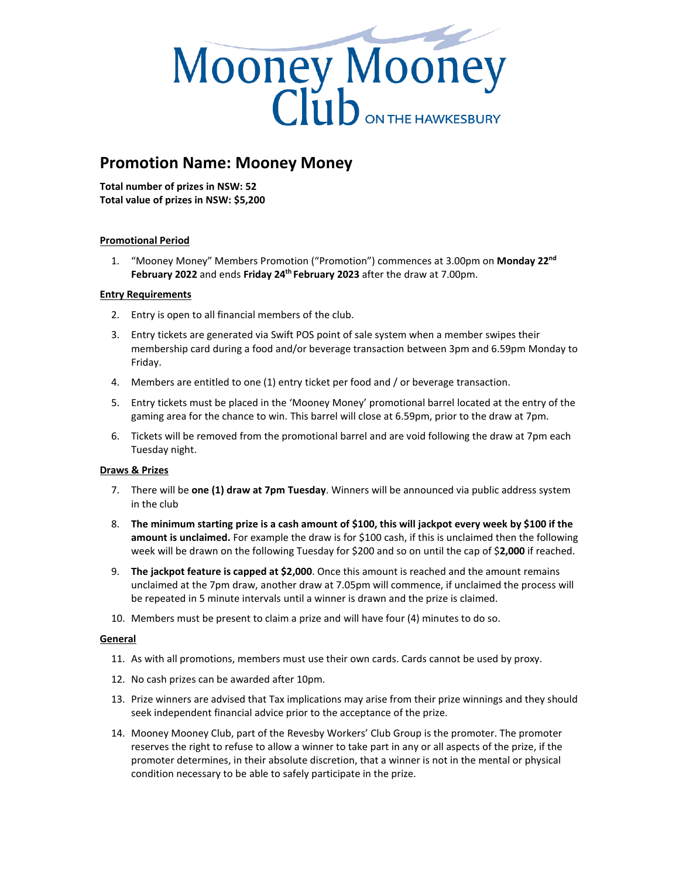

# **Promotion Name: Mooney Money**

**Total number of prizes in NSW: 52 Total value of prizes in NSW: \$5,200**

# **Promotional Period**

1. "Mooney Money" Members Promotion ("Promotion") commences at 3.00pm on **Monday 22nd February 2022** and ends **Friday 24th February 2023** after the draw at 7.00pm.

### **Entry Requirements**

- 2. Entry is open to all financial members of the club.
- 3. Entry tickets are generated via Swift POS point of sale system when a member swipes their membership card during a food and/or beverage transaction between 3pm and 6.59pm Monday to Friday.
- 4. Members are entitled to one (1) entry ticket per food and / or beverage transaction.
- 5. Entry tickets must be placed in the 'Mooney Money' promotional barrel located at the entry of the gaming area for the chance to win. This barrel will close at 6.59pm, prior to the draw at 7pm.
- 6. Tickets will be removed from the promotional barrel and are void following the draw at 7pm each Tuesday night.

# **Draws & Prizes**

- 7. There will be **one (1) draw at 7pm Tuesday**. Winners will be announced via public address system in the club
- 8. **The minimum starting prize is a cash amount of \$100, this will jackpot every week by \$100 if the amount is unclaimed.** For example the draw is for \$100 cash, if this is unclaimed then the following week will be drawn on the following Tuesday for \$200 and so on until the cap of \$**2,000** if reached.
- 9. **The jackpot feature is capped at \$2,000**. Once this amount is reached and the amount remains unclaimed at the 7pm draw, another draw at 7.05pm will commence, if unclaimed the process will be repeated in 5 minute intervals until a winner is drawn and the prize is claimed.
- 10. Members must be present to claim a prize and will have four (4) minutes to do so.

### **General**

- 11. As with all promotions, members must use their own cards. Cards cannot be used by proxy.
- 12. No cash prizes can be awarded after 10pm.
- 13. Prize winners are advised that Tax implications may arise from their prize winnings and they should seek independent financial advice prior to the acceptance of the prize.
- 14. Mooney Mooney Club, part of the Revesby Workers' Club Group is the promoter. The promoter reserves the right to refuse to allow a winner to take part in any or all aspects of the prize, if the promoter determines, in their absolute discretion, that a winner is not in the mental or physical condition necessary to be able to safely participate in the prize.